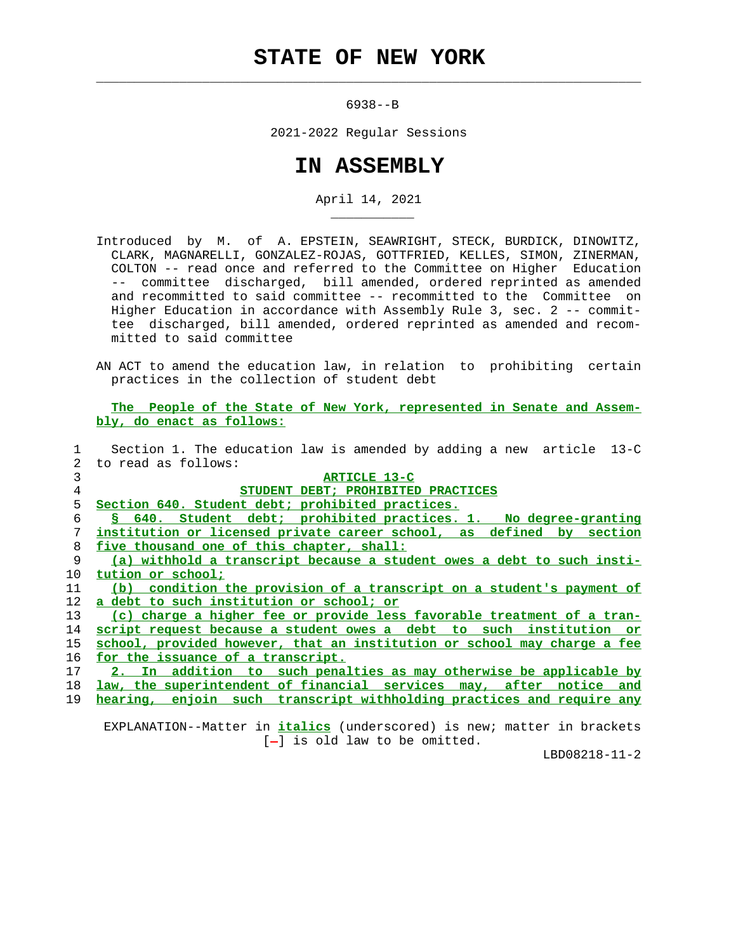## **STATE OF NEW YORK**

 $\mathcal{L}_\text{max} = \frac{1}{2} \sum_{i=1}^{n} \frac{1}{2} \sum_{i=1}^{n} \frac{1}{2} \sum_{i=1}^{n} \frac{1}{2} \sum_{i=1}^{n} \frac{1}{2} \sum_{i=1}^{n} \frac{1}{2} \sum_{i=1}^{n} \frac{1}{2} \sum_{i=1}^{n} \frac{1}{2} \sum_{i=1}^{n} \frac{1}{2} \sum_{i=1}^{n} \frac{1}{2} \sum_{i=1}^{n} \frac{1}{2} \sum_{i=1}^{n} \frac{1}{2} \sum_{i=1}^{n} \frac{1$ 

\_\_\_\_\_\_\_\_\_\_\_

6938--B

2021-2022 Regular Sessions

## **IN ASSEMBLY**

April 14, 2021

- Introduced by M. of A. EPSTEIN, SEAWRIGHT, STECK, BURDICK, DINOWITZ, CLARK, MAGNARELLI, GONZALEZ-ROJAS, GOTTFRIED, KELLES, SIMON, ZINERMAN, COLTON -- read once and referred to the Committee on Higher Education -- committee discharged, bill amended, ordered reprinted as amended and recommitted to said committee -- recommitted to the Committee on Higher Education in accordance with Assembly Rule 3, sec. 2 -- commit tee discharged, bill amended, ordered reprinted as amended and recom mitted to said committee
- AN ACT to amend the education law, in relation to prohibiting certain practices in the collection of student debt

 **The People of the State of New York, represented in Senate and Assem bly, do enact as follows:**

|             | Section 1. The education law is amended by adding a new article 13-C     |
|-------------|--------------------------------------------------------------------------|
| $2^{\circ}$ | to read as follows:                                                      |
| 3           | ARTICLE 13-C                                                             |
| 4           | STUDENT DEBT; PROHIBITED PRACTICES                                       |
| 5           | Section 640. Student debt; prohibited practices.                         |
| 6           | § 640. Student debt; prohibited practices. 1. No degree-granting         |
| 7           | institution or licensed private career school, as defined by section     |
| 8           | five thousand one of this chapter, shall:                                |
| 9           | (a) withhold a transcript because a student owes a debt to such insti-   |
| 10          | tution or school;                                                        |
| 11          | (b) condition the provision of a transcript on a student's payment of    |
| 12          | a debt to such institution or school; or                                 |
| 13          | (c) charge a higher fee or provide less favorable treatment of a tran-   |
| 14          | script request because a student owes a debt to such institution or      |
| 15          | school, provided however, that an institution or school may charge a fee |
| 16          | for the issuance of a transcript.                                        |
| 17          | 2. In addition to such penalties as may otherwise be applicable by       |
| 18          | law, the superintendent of financial services may, after notice and      |
| 19          | hearing, enjoin such transcript withholding practices and require any    |
|             |                                                                          |

 EXPLANATION--Matter in **italics** (underscored) is new; matter in brackets  $[-]$  is old law to be omitted.

LBD08218-11-2